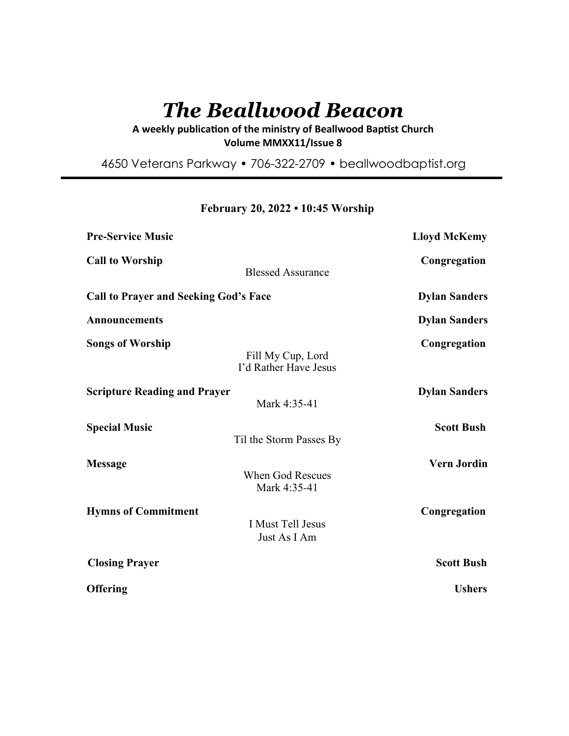# *The Beallwood Beacon*

A weekly publication of the ministry of Beallwood Baptist Church **Volume MMXX11/Issue 8** 

4650 Veterans Parkway • 706-322-2709 • beallwoodbaptist.org

**February 20, 2022 • 10:45 Worship**

| <b>Pre-Service Music</b>                                               | <b>Lloyd McKemy</b>  |
|------------------------------------------------------------------------|----------------------|
| <b>Call to Worship</b><br><b>Blessed Assurance</b>                     | Congregation         |
| <b>Call to Prayer and Seeking God's Face</b>                           | <b>Dylan Sanders</b> |
| <b>Announcements</b>                                                   | <b>Dylan Sanders</b> |
| <b>Songs of Worship</b><br>Fill My Cup, Lord<br>I'd Rather Have Jesus  | Congregation         |
| <b>Scripture Reading and Prayer</b><br>Mark 4:35-41                    | <b>Dylan Sanders</b> |
| <b>Special Music</b><br>Til the Storm Passes By                        | <b>Scott Bush</b>    |
| <b>Message</b><br><b>When God Rescues</b><br>Mark 4:35-41              | <b>Vern Jordin</b>   |
| <b>Hymns of Commitment</b><br><b>I Must Tell Jesus</b><br>Just As I Am | Congregation         |
| <b>Closing Prayer</b>                                                  | <b>Scott Bush</b>    |
| Offering                                                               | <b>Ushers</b>        |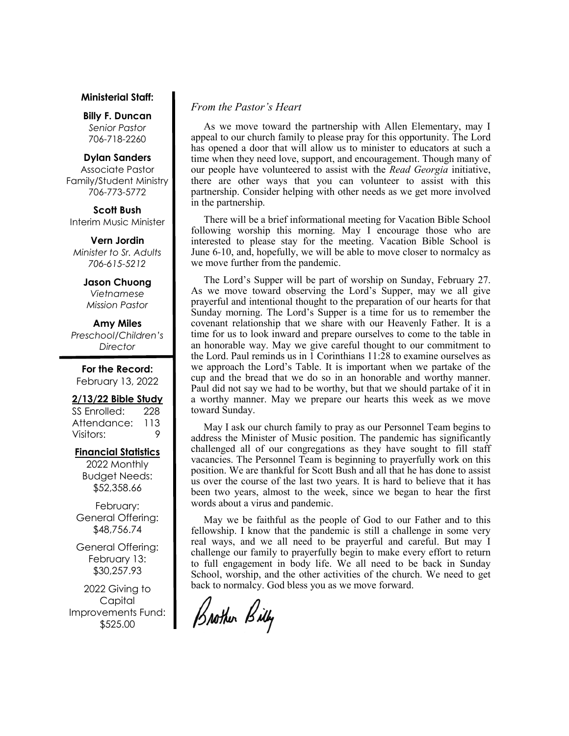#### **Ministerial Staff:**

**Billy F. Duncan** *Senior Pastor*  706-718-2260

#### **Dylan Sanders**

Associate Pastor Family/Student Ministry 706-773-5772

**Scott Bush**  Interim Music Minister

**Vern Jordin** *Minister to Sr. Adults 706-615-5212* 

#### **Jason Chuong**

*Vietnamese Mission Pastor* 

**Amy Miles**

*Preschool/Children's Director* 

**For the Record:**  February 13, 2022

## **2/13/22 Bible Study**

SS Enrolled: 228 Attendance: 113 Visitors: 9

#### **Financial Statistics**

2022 Monthly Budget Needs: \$52,358.66

February: General Offering: \$48,756.74

General Offering: February 13: \$30,257.93

2022 Giving to Capital Improvements Fund: \$525.00

# *From the Pastor's Heart*

 As we move toward the partnership with Allen Elementary, may I appeal to our church family to please pray for this opportunity. The Lord has opened a door that will allow us to minister to educators at such a time when they need love, support, and encouragement. Though many of our people have volunteered to assist with the *Read Georgia* initiative, there are other ways that you can volunteer to assist with this partnership. Consider helping with other needs as we get more involved in the partnership.

 There will be a brief informational meeting for Vacation Bible School following worship this morning. May I encourage those who are interested to please stay for the meeting. Vacation Bible School is June 6-10, and, hopefully, we will be able to move closer to normalcy as we move further from the pandemic.

 The Lord's Supper will be part of worship on Sunday, February 27. As we move toward observing the Lord's Supper, may we all give prayerful and intentional thought to the preparation of our hearts for that Sunday morning. The Lord's Supper is a time for us to remember the covenant relationship that we share with our Heavenly Father. It is a time for us to look inward and prepare ourselves to come to the table in an honorable way. May we give careful thought to our commitment to the Lord. Paul reminds us in 1 Corinthians 11:28 to examine ourselves as we approach the Lord's Table. It is important when we partake of the cup and the bread that we do so in an honorable and worthy manner. Paul did not say we had to be worthy, but that we should partake of it in a worthy manner. May we prepare our hearts this week as we move toward Sunday.

 May I ask our church family to pray as our Personnel Team begins to address the Minister of Music position. The pandemic has significantly challenged all of our congregations as they have sought to fill staff vacancies. The Personnel Team is beginning to prayerfully work on this position. We are thankful for Scott Bush and all that he has done to assist us over the course of the last two years. It is hard to believe that it has been two years, almost to the week, since we began to hear the first words about a virus and pandemic.

 May we be faithful as the people of God to our Father and to this fellowship. I know that the pandemic is still a challenge in some very real ways, and we all need to be prayerful and careful. But may I challenge our family to prayerfully begin to make every effort to return to full engagement in body life. We all need to be back in Sunday School, worship, and the other activities of the church. We need to get back to normalcy. God bless you as we move forward.

Brother Billy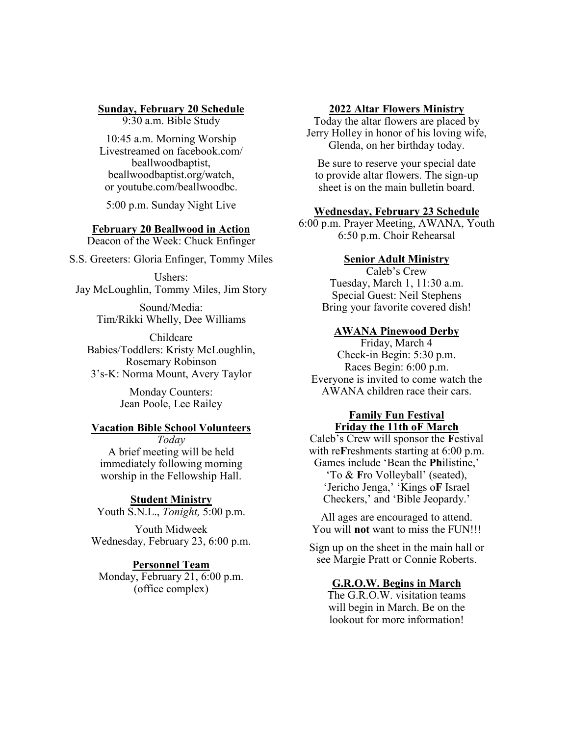#### **Sunday, February 20 Schedule**

9:30 a.m. Bible Study

10:45 a.m. Morning Worship Livestreamed on facebook.com/ beallwoodbaptist, beallwoodbaptist.org/watch, or youtube.com/beallwoodbc.

5:00 p.m. Sunday Night Live

# **February 20 Beallwood in Action**

Deacon of the Week: Chuck Enfinger

S.S. Greeters: Gloria Enfinger, Tommy Miles

Ushers: Jay McLoughlin, Tommy Miles, Jim Story

> Sound/Media: Tim/Rikki Whelly, Dee Williams

Childcare Babies/Toddlers: Kristy McLoughlin, Rosemary Robinson 3's-K: Norma Mount, Avery Taylor

> Monday Counters: Jean Poole, Lee Railey

# **Vacation Bible School Volunteers**

*Today* A brief meeting will be held immediately following morning worship in the Fellowship Hall.

## **Student Ministry**

Youth S.N.L., *Tonight,* 5:00 p.m.

Youth Midweek Wednesday, February 23, 6:00 p.m.

#### **Personnel Team**

Monday, February 21, 6:00 p.m. (office complex)

## **2022 Altar Flowers Ministry**

Today the altar flowers are placed by Jerry Holley in honor of his loving wife, Glenda, on her birthday today.

Be sure to reserve your special date to provide altar flowers. The sign-up sheet is on the main bulletin board.

# **Wednesday, February 23 Schedule**

6:00 p.m. Prayer Meeting, AWANA, Youth 6:50 p.m. Choir Rehearsal

## **Senior Adult Ministry**

Caleb's Crew Tuesday, March 1, 11:30 a.m. Special Guest: Neil Stephens Bring your favorite covered dish!

#### **AWANA Pinewood Derby**

Friday, March 4 Check-in Begin: 5:30 p.m. Races Begin: 6:00 p.m. Everyone is invited to come watch the AWANA children race their cars.

# **Family Fun Festival Friday the 11th oF March**

Caleb's Crew will sponsor the **F**estival with re**F**reshments starting at 6:00 p.m. Games include 'Bean the **Ph**ilistine,' 'To & **F**ro Volleyball' (seated), 'Jericho Jenga,' 'Kings o**F** Israel Checkers,' and 'Bible Jeopardy.'

All ages are encouraged to attend. You will **not** want to miss the FUN!!!

Sign up on the sheet in the main hall or see Margie Pratt or Connie Roberts.

# **G.R.O.W. Begins in March**

The G.R.O.W. visitation teams will begin in March. Be on the lookout for more information!